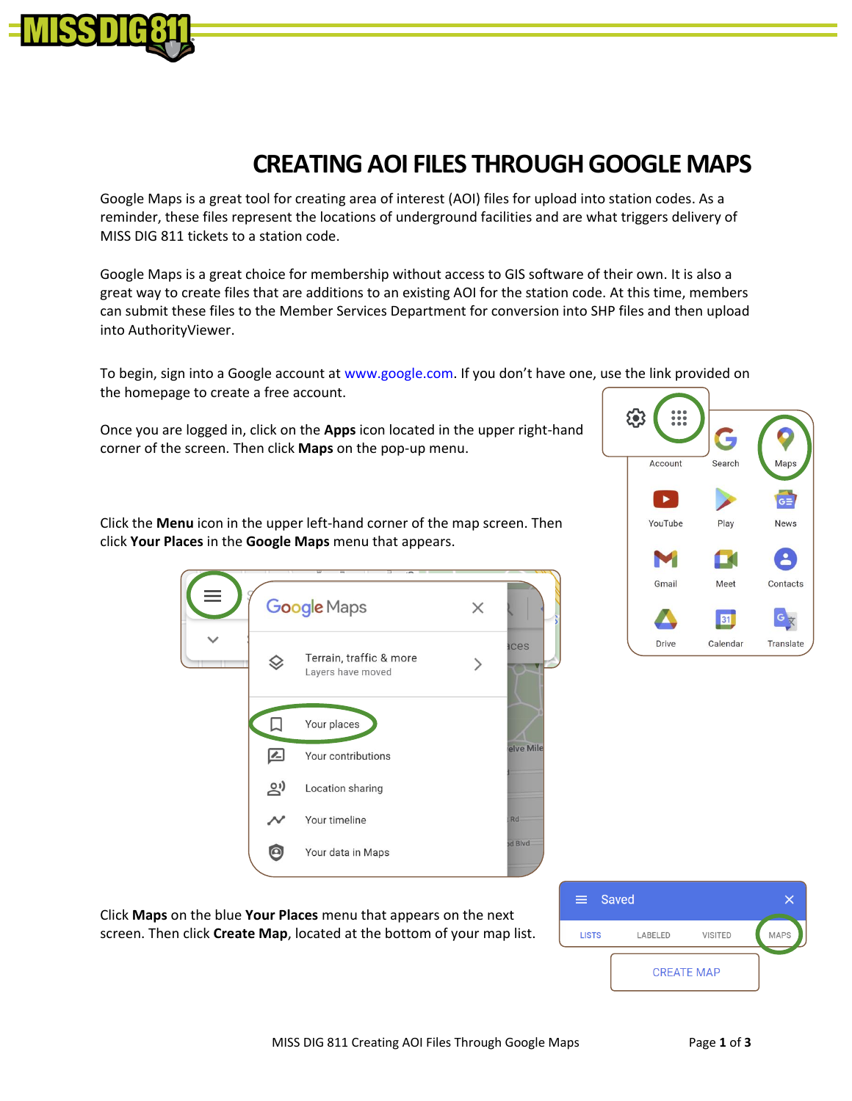

## **CREATING AOI FILES THROUGH GOOGLE MAPS**

Google Maps is a great tool for creating area of interest (AOI) files for upload into station codes. As a reminder, these files represent the locations of underground facilities and are what triggers delivery of MISS DIG 811 tickets to a station code.

Google Maps is a great choice for membership without access to GIS software of their own. It is also a great way to create files that are additions to an existing AOI for the station code. At this time, members can submit these files to the Member Services Department for conversion into SHP files and then upload into AuthorityViewer.

To begin, sign into a Google account at www.google.com. If you don't have one, use the link provided on the homepage to create a free account.

Once you are logged in, click on the **Apps** icon located in the upper right-hand corner of the screen. Then click **Maps** on the pop-up menu.

Click the **Menu** icon in the upper left-hand corner of the map screen. Then click **Your Places** in the **Google Maps** menu that appears.







<u>(•}</u>

Account

 $\blacktriangleright$ YouTube

> **The Contract of Street** Gmail

> > Z.

Drive

G

Search

Play

Ed

Meet

31

Calendar

Maps

 $\overline{\text{c}}$ 

**News** 

 $\mathbf{L}$ 

Contacts

G.

Translate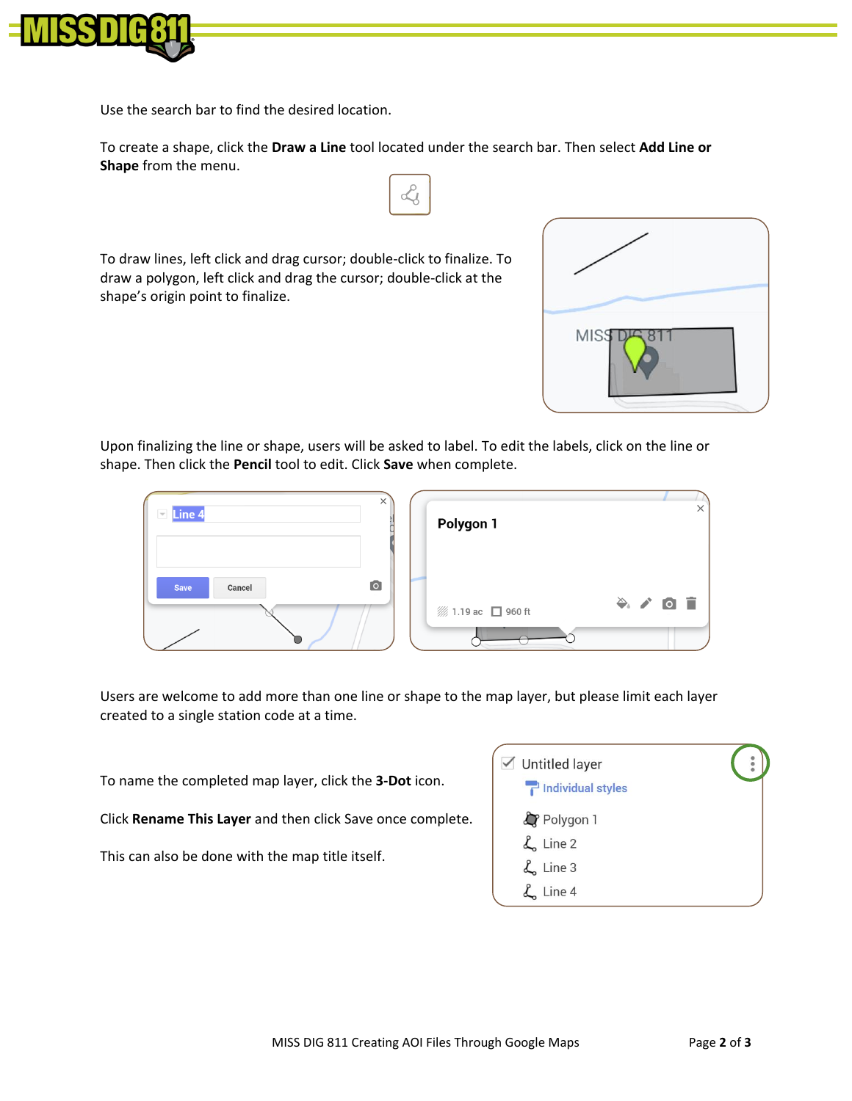

Use the search bar to find the desired location.

To create a shape, click the **Draw a Line** tool located under the search bar. Then select **Add Line or Shape** from the menu.



To draw lines, left click and drag cursor; double-click to finalize. To draw a polygon, left click and drag the cursor; double-click at the shape's origin point to finalize.



Upon finalizing the line or shape, users will be asked to label. To edit the labels, click on the line or shape. Then click the **Pencil** tool to edit. Click **Save** when complete.



| Polygon 1          |                                             |
|--------------------|---------------------------------------------|
| ▒ 1.19 ac □ 960 ft | $\rightarrow$ $\rightarrow$ 0 $\rightarrow$ |
|                    |                                             |

Users are welcome to add more than one line or shape to the map layer, but please limit each layer created to a single station code at a time.

To name the completed map layer, click the **3-Dot** icon.

Click **Rename This Layer** and then click Save once complete.

This can also be done with the map title itself.

| <b>√</b> Untitled layer<br>$\rightarrow$ Individual styles |  |
|------------------------------------------------------------|--|
| Polygon 1                                                  |  |
| $\mathcal{L}$ Line 2                                       |  |
| $\mathcal{L}$ Line 3                                       |  |
| Line 4                                                     |  |